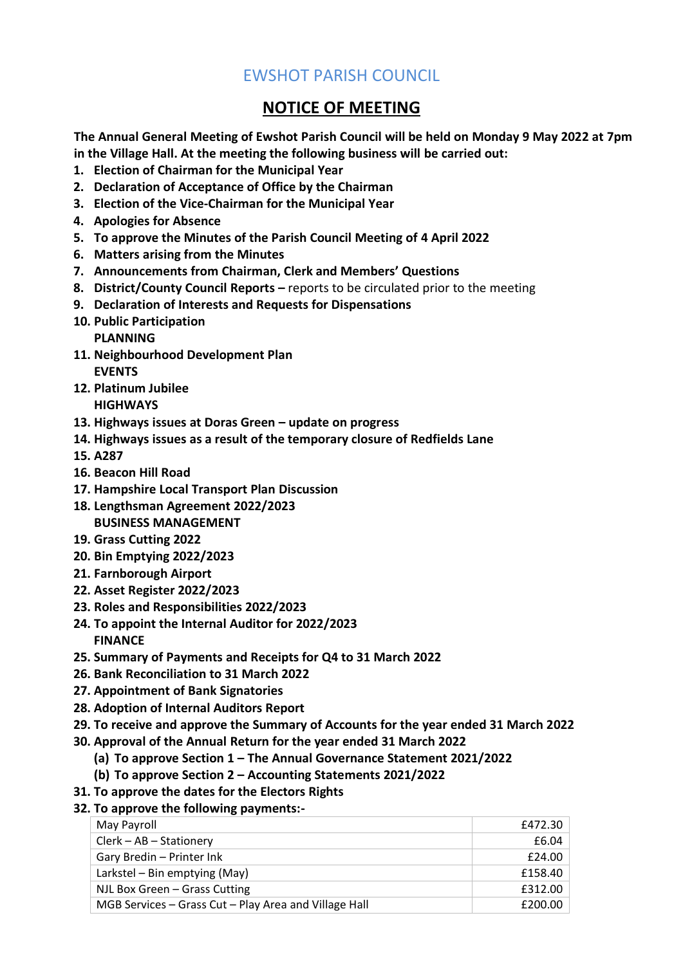# EWSHOT PARISH COUNCIL

# **NOTICE OF MEETING**

**The Annual General Meeting of Ewshot Parish Council will be held on Monday 9 May 2022 at 7pm in the Village Hall. At the meeting the following business will be carried out:**

- **1. Election of Chairman for the Municipal Year**
- **2. Declaration of Acceptance of Office by the Chairman**
- **3. Election of the Vice-Chairman for the Municipal Year**
- **4. Apologies for Absence**
- **5. To approve the Minutes of the Parish Council Meeting of 4 April 2022**
- **6. Matters arising from the Minutes**
- **7. Announcements from Chairman, Clerk and Members' Questions**
- **8. District/County Council Reports –** reports to be circulated prior to the meeting
- **9. Declaration of Interests and Requests for Dispensations**
- **10. Public Participation**

**PLANNING**

- **11. Neighbourhood Development Plan EVENTS**
- **12. Platinum Jubilee HIGHWAYS**
- **13. Highways issues at Doras Green – update on progress**
- **14. Highways issues as a result of the temporary closure of Redfields Lane**
- **15. A287**
- **16. Beacon Hill Road**
- **17. Hampshire Local Transport Plan Discussion**
- **18. Lengthsman Agreement 2022/2023 BUSINESS MANAGEMENT**
- **19. Grass Cutting 2022**
- **20. Bin Emptying 2022/2023**
- **21. Farnborough Airport**
- **22. Asset Register 2022/2023**
- **23. Roles and Responsibilities 2022/2023**
- **24. To appoint the Internal Auditor for 2022/2023 FINANCE**
- **25. Summary of Payments and Receipts for Q4 to 31 March 2022**
- **26. Bank Reconciliation to 31 March 2022**
- **27. Appointment of Bank Signatories**
- **28. Adoption of Internal Auditors Report**
- **29. To receive and approve the Summary of Accounts for the year ended 31 March 2022**
- **30. Approval of the Annual Return for the year ended 31 March 2022**
	- **(a) To approve Section 1 – The Annual Governance Statement 2021/2022**
		- **(b) To approve Section 2 – Accounting Statements 2021/2022**
- **31. To approve the dates for the Electors Rights**

#### **32. To approve the following payments:-**

| May Payroll                                           | £472.30 |
|-------------------------------------------------------|---------|
| Clerk - AB - Stationery                               | £6.04   |
| Gary Bredin - Printer Ink                             | £24.00  |
| Larkstel – Bin emptying (May)                         | £158.40 |
| NJL Box Green - Grass Cutting                         | £312.00 |
| MGB Services - Grass Cut - Play Area and Village Hall | £200.00 |